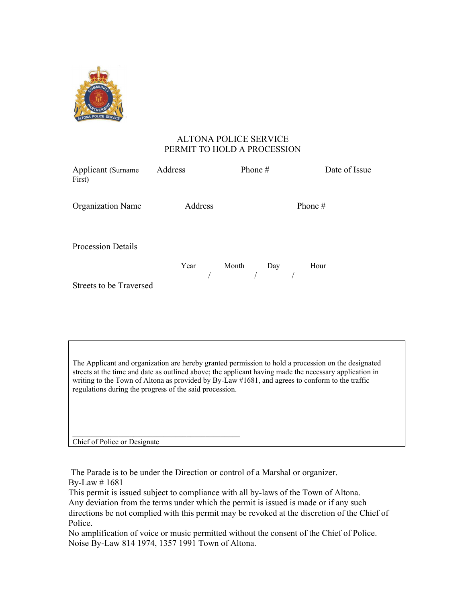

## ALTONA POLICE SERVICE PERMIT TO HOLD A PROCESSION

| Applicant (Surname<br>First)   | Address | Phone $#$      | Date of Issue |
|--------------------------------|---------|----------------|---------------|
| <b>Organization Name</b>       | Address |                | Phone #       |
| <b>Procession Details</b>      |         | Year Month Day | Hour          |
| <b>Streets to be Traversed</b> |         |                |               |

The Applicant and organization are hereby granted permission to hold a procession on the designated streets at the time and date as outlined above; the applicant having made the necessary application in writing to the Town of Altona as provided by By-Law #1681, and agrees to conform to the traffic regulations during the progress of the said procession.

Chief of Police or Designate

The Parade is to be under the Direction or control of a Marshal or organizer. By-Law # 1681

This permit is issued subject to compliance with all by-laws of the Town of Altona. Any deviation from the terms under which the permit is issued is made or if any such directions be not complied with this permit may be revoked at the discretion of the Chief of Police.

No amplification of voice or music permitted without the consent of the Chief of Police. Noise By-Law 814 1974, 1357 1991 Town of Altona.